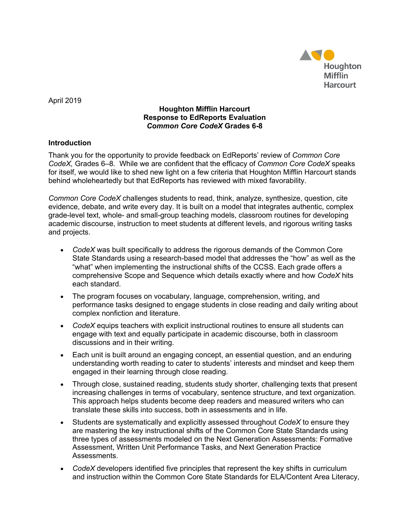

April 2019

## **Houghton Mifflin Harcourt Response to EdReports Evaluation** *Common Core CodeX* **Grades 6-8**

## **Introduction**

Thank you for the opportunity to provide feedback on EdReports' review of *Common Core CodeX,* Grades 6–8*.* While we are confident that the efficacy of *Common Core CodeX* speaks for itself, we would like to shed new light on a few criteria that Houghton Mifflin Harcourt stands behind wholeheartedly but that EdReports has reviewed with mixed favorability.

*Common Core CodeX* challenges students to read, think, analyze, synthesize, question, cite evidence, debate, and write every day. It is built on a model that integrates authentic, complex grade-level text, whole- and small-group teaching models, classroom routines for developing academic discourse, instruction to meet students at different levels, and rigorous writing tasks and projects.

- *CodeX* was built specifically to address the rigorous demands of the Common Core State Standards using a research-based model that addresses the "how" as well as the "what" when implementing the instructional shifts of the CCSS. Each grade offers a comprehensive Scope and Sequence which details exactly where and how *CodeX* hits each standard.
- The program focuses on vocabulary, language, comprehension, writing, and performance tasks designed to engage students in close reading and daily writing about complex nonfiction and literature.
- *CodeX* equips teachers with explicit instructional routines to ensure all students can engage with text and equally participate in academic discourse, both in classroom discussions and in their writing.
- Each unit is built around an engaging concept, an essential question, and an enduring understanding worth reading to cater to students' interests and mindset and keep them engaged in their learning through close reading.
- Through close, sustained reading, students study shorter, challenging texts that present increasing challenges in terms of vocabulary, sentence structure, and text organization. This approach helps students become deep readers and measured writers who can translate these skills into success, both in assessments and in life.
- Students are systematically and explicitly assessed throughout *CodeX* to ensure they are mastering the key instructional shifts of the Common Core State Standards using three types of assessments modeled on the Next Generation Assessments: Formative Assessment, Written Unit Performance Tasks, and Next Generation Practice Assessments.
- *CodeX* developers identified five principles that represent the key shifts in curriculum and instruction within the Common Core State Standards for ELA/Content Area Literacy,